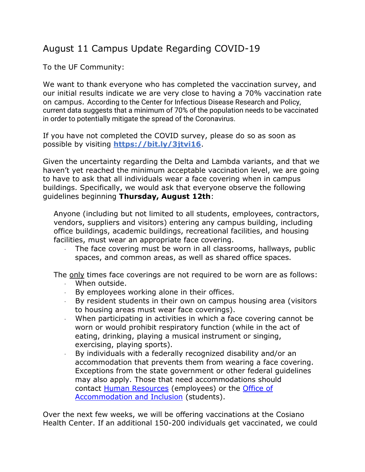## August 11 Campus Update Regarding COVID-19

To the UF Community:

We want to thank everyone who has completed the vaccination survey, and our initial results indicate we are very close to having a 70% vaccination rate on campus. According to the Center for Infectious Disease Research and Policy, current data suggests that a minimum of 70% of the population needs to be vaccinated in order to potentially mitigate the spread of the Coronavirus.

If you have not completed the COVID survey, please do so as soon as possible by visiting **<https://bit.ly/3jtvi16>**.

Given the uncertainty regarding the Delta and Lambda variants, and that we haven't yet reached the minimum acceptable vaccination level, we are going to have to ask that all individuals wear a face covering when in campus buildings. Specifically, we would ask that everyone observe the following guidelines beginning **Thursday, August 12th**:

Anyone (including but not limited to all students, employees, contractors, vendors, suppliers and visitors) entering any campus building, including office buildings, academic buildings, recreational facilities, and housing facilities, must wear an appropriate face covering.

· The face covering must be worn in all classrooms, hallways, public spaces, and common areas, as well as shared office spaces.

The only times face coverings are not required to be worn are as follows:

- When outside.
- · By employees working alone in their offices.
- · By resident students in their own on campus housing area (visitors to housing areas must wear face coverings).
- · When participating in activities in which a face covering cannot be worn or would prohibit respiratory function (while in the act of eating, drinking, playing a musical instrument or singing, exercising, playing sports).
- · By individuals with a federally recognized disability and/or an accommodation that prevents them from wearing a face covering. Exceptions from the state government or other federal guidelines may also apply. Those that need accommodations should contact [Human Resources](https://www.findlay.edu/offices/business-affairs/human-resources) (employees) or the [Office of](https://www.findlay.edu/offices/student-affairs/accommodation-and-inclusion)  [Accommodation and Inclusion](https://www.findlay.edu/offices/student-affairs/accommodation-and-inclusion) (students).

Over the next few weeks, we will be offering vaccinations at the Cosiano Health Center. If an additional 150-200 individuals get vaccinated, we could